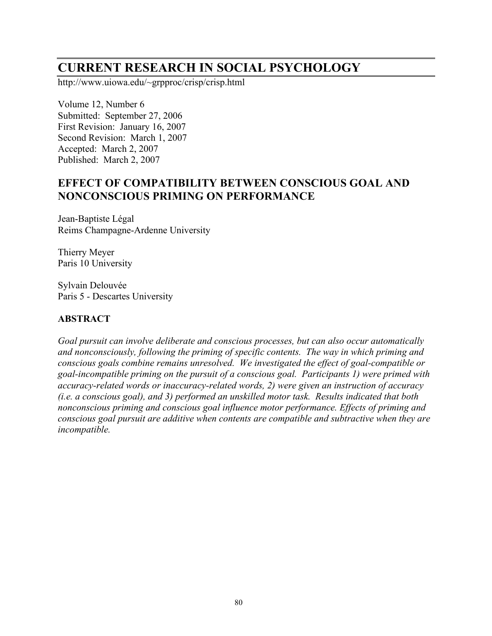# **CURRENT RESEARCH IN SOCIAL PSYCHOLOGY**

http://www.uiowa.edu/~grpproc/crisp/crisp.html

Volume 12, Number 6 Submitted: September 27, 2006 First Revision: January 16, 2007 Second Revision: March 1, 2007 Accepted: March 2, 2007 Published: March 2, 2007

## **EFFECT OF COMPATIBILITY BETWEEN CONSCIOUS GOAL AND NONCONSCIOUS PRIMING ON PERFORMANCE**

Jean-Baptiste Légal Reims Champagne-Ardenne University

Thierry Meyer Paris 10 University

Sylvain Delouvée Paris 5 - Descartes University

## **ABSTRACT**

*Goal pursuit can involve deliberate and conscious processes, but can also occur automatically and nonconsciously, following the priming of specific contents. The way in which priming and conscious goals combine remains unresolved. We investigated the effect of goal-compatible or goal-incompatible priming on the pursuit of a conscious goal. Participants 1) were primed with accuracy-related words or inaccuracy-related words, 2) were given an instruction of accuracy (i.e. a conscious goal), and 3) performed an unskilled motor task. Results indicated that both nonconscious priming and conscious goal influence motor performance. Effects of priming and conscious goal pursuit are additive when contents are compatible and subtractive when they are incompatible.*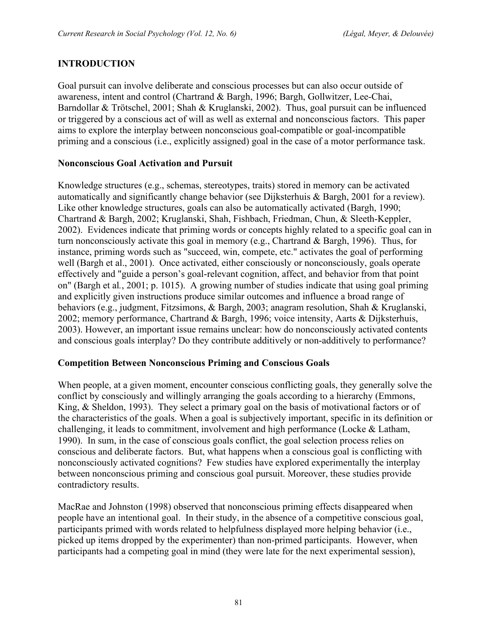## **INTRODUCTION**

Goal pursuit can involve deliberate and conscious processes but can also occur outside of awareness, intent and control (Chartrand & Bargh, 1996; Bargh, Gollwitzer, Lee-Chai, Barndollar & Trötschel, 2001; Shah & Kruglanski, 2002). Thus, goal pursuit can be influenced or triggered by a conscious act of will as well as external and nonconscious factors. This paper aims to explore the interplay between nonconscious goal-compatible or goal-incompatible priming and a conscious (i.e., explicitly assigned) goal in the case of a motor performance task.

## **Nonconscious Goal Activation and Pursuit**

Knowledge structures (e.g., schemas, stereotypes, traits) stored in memory can be activated automatically and significantly change behavior (see Dijksterhuis & Bargh, 2001 for a review). Like other knowledge structures, goals can also be automatically activated (Bargh, 1990; Chartrand & Bargh, 2002; Kruglanski, Shah, Fishbach, Friedman, Chun, & Sleeth-Keppler, 2002). Evidences indicate that priming words or concepts highly related to a specific goal can in turn nonconsciously activate this goal in memory (e.g., Chartrand & Bargh, 1996). Thus, for instance, priming words such as "succeed, win, compete, etc." activates the goal of performing well (Bargh et al., 2001). Once activated, either consciously or nonconsciously, goals operate effectively and "guide a person's goal-relevant cognition, affect, and behavior from that point on" (Bargh et al*.*, 2001; p. 1015). A growing number of studies indicate that using goal priming and explicitly given instructions produce similar outcomes and influence a broad range of behaviors (e.g., judgment, Fitzsimons, & Bargh, 2003; anagram resolution, Shah & Kruglanski, 2002; memory performance, Chartrand & Bargh, 1996; voice intensity, Aarts & Dijksterhuis, 2003). However, an important issue remains unclear: how do nonconsciously activated contents and conscious goals interplay? Do they contribute additively or non-additively to performance?

#### **Competition Between Nonconscious Priming and Conscious Goals**

When people, at a given moment, encounter conscious conflicting goals, they generally solve the conflict by consciously and willingly arranging the goals according to a hierarchy (Emmons, King, & Sheldon, 1993). They select a primary goal on the basis of motivational factors or of the characteristics of the goals. When a goal is subjectively important, specific in its definition or challenging, it leads to commitment, involvement and high performance (Locke & Latham, 1990). In sum, in the case of conscious goals conflict, the goal selection process relies on conscious and deliberate factors. But, what happens when a conscious goal is conflicting with nonconsciously activated cognitions? Few studies have explored experimentally the interplay between nonconscious priming and conscious goal pursuit. Moreover, these studies provide contradictory results.

MacRae and Johnston (1998) observed that nonconscious priming effects disappeared when people have an intentional goal. In their study, in the absence of a competitive conscious goal, participants primed with words related to helpfulness displayed more helping behavior (i.e., picked up items dropped by the experimenter) than non-primed participants. However, when participants had a competing goal in mind (they were late for the next experimental session),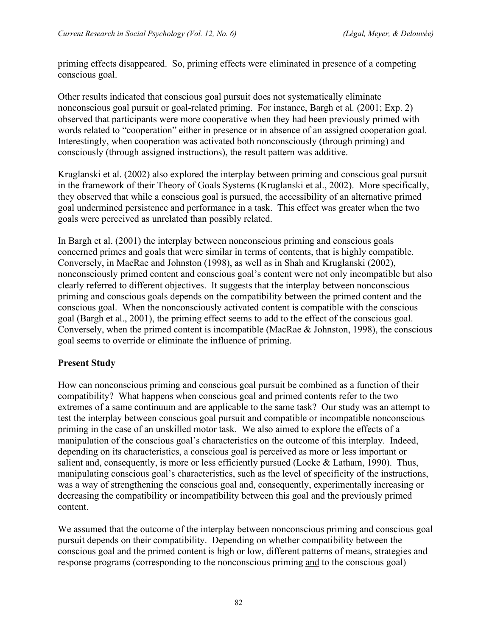priming effects disappeared. So, priming effects were eliminated in presence of a competing conscious goal.

Other results indicated that conscious goal pursuit does not systematically eliminate nonconscious goal pursuit or goal-related priming. For instance, Bargh et al*.* (2001; Exp. 2) observed that participants were more cooperative when they had been previously primed with words related to "cooperation" either in presence or in absence of an assigned cooperation goal. Interestingly, when cooperation was activated both nonconsciously (through priming) and consciously (through assigned instructions), the result pattern was additive.

Kruglanski et al. (2002) also explored the interplay between priming and conscious goal pursuit in the framework of their Theory of Goals Systems (Kruglanski et al., 2002). More specifically, they observed that while a conscious goal is pursued, the accessibility of an alternative primed goal undermined persistence and performance in a task. This effect was greater when the two goals were perceived as unrelated than possibly related.

In Bargh et al. (2001) the interplay between nonconscious priming and conscious goals concerned primes and goals that were similar in terms of contents, that is highly compatible. Conversely, in MacRae and Johnston (1998), as well as in Shah and Kruglanski (2002), nonconsciously primed content and conscious goal's content were not only incompatible but also clearly referred to different objectives. It suggests that the interplay between nonconscious priming and conscious goals depends on the compatibility between the primed content and the conscious goal. When the nonconsciously activated content is compatible with the conscious goal (Bargh et al., 2001), the priming effect seems to add to the effect of the conscious goal. Conversely, when the primed content is incompatible (MacRae & Johnston, 1998), the conscious goal seems to override or eliminate the influence of priming.

#### **Present Study**

How can nonconscious priming and conscious goal pursuit be combined as a function of their compatibility? What happens when conscious goal and primed contents refer to the two extremes of a same continuum and are applicable to the same task? Our study was an attempt to test the interplay between conscious goal pursuit and compatible or incompatible nonconscious priming in the case of an unskilled motor task. We also aimed to explore the effects of a manipulation of the conscious goal's characteristics on the outcome of this interplay. Indeed, depending on its characteristics, a conscious goal is perceived as more or less important or salient and, consequently, is more or less efficiently pursued (Locke & Latham, 1990). Thus, manipulating conscious goal's characteristics, such as the level of specificity of the instructions, was a way of strengthening the conscious goal and, consequently, experimentally increasing or decreasing the compatibility or incompatibility between this goal and the previously primed content.

We assumed that the outcome of the interplay between nonconscious priming and conscious goal pursuit depends on their compatibility. Depending on whether compatibility between the conscious goal and the primed content is high or low, different patterns of means, strategies and response programs (corresponding to the nonconscious priming and to the conscious goal)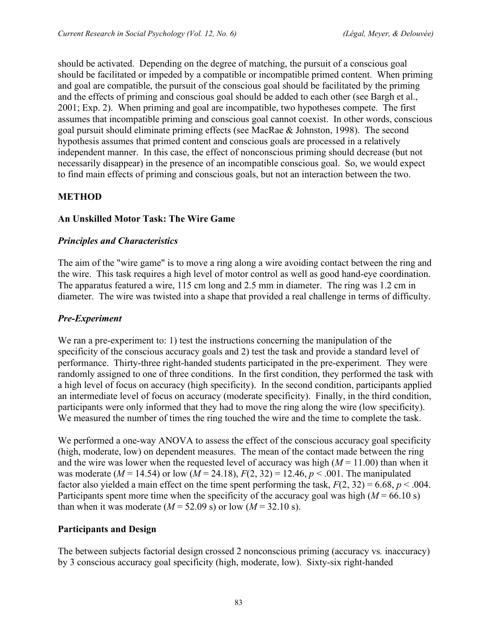should be activated. Depending on the degree of matching, the pursuit of a conscious goal should be facilitated or impeded by a compatible or incompatible primed content. When priming and goal are compatible, the pursuit of the conscious goal should be facilitated by the priming and the effects of priming and conscious goal should be added to each other (see Bargh et al., 2001; Exp. 2). When priming and goal are incompatible, two hypotheses compete. The first assumes that incompatible priming and conscious goal cannot coexist. In other words, conscious goal pursuit should eliminate priming effects (see MacRae & Johnston, 1998). The second hypothesis assumes that primed content and conscious goals are processed in a relatively independent manner. In this case, the effect of nonconscious priming should decrease (but not necessarily disappear) in the presence of an incompatible conscious goal. So, we would expect to find main effects of priming and conscious goals, but not an interaction between the two.

## **METHOD**

#### **An Unskilled Motor Task: The Wire Game**

#### *Principles and Characteristics*

The aim of the "wire game" is to move a ring along a wire avoiding contact between the ring and the wire. This task requires a high level of motor control as well as good hand-eye coordination. The apparatus featured a wire, 115 cm long and 2.5 mm in diameter. The ring was 1.2 cm in diameter. The wire was twisted into a shape that provided a real challenge in terms of difficulty.

#### *Pre-Experiment*

We ran a pre-experiment to: 1) test the instructions concerning the manipulation of the specificity of the conscious accuracy goals and 2) test the task and provide a standard level of performance. Thirty-three right-handed students participated in the pre-experiment. They were randomly assigned to one of three conditions. In the first condition, they performed the task with a high level of focus on accuracy (high specificity). In the second condition, participants applied an intermediate level of focus on accuracy (moderate specificity). Finally, in the third condition, participants were only informed that they had to move the ring along the wire (low specificity). We measured the number of times the ring touched the wire and the time to complete the task.

We performed a one-way ANOVA to assess the effect of the conscious accuracy goal specificity (high, moderate, low) on dependent measures. The mean of the contact made between the ring and the wire was lower when the requested level of accuracy was high  $(M = 11.00)$  than when it was moderate ( $M = 14.54$ ) or low ( $M = 24.18$ ),  $F(2, 32) = 12.46$ ,  $p < .001$ . The manipulated factor also yielded a main effect on the time spent performing the task,  $F(2, 32) = 6.68$ ,  $p < .004$ . Participants spent more time when the specificity of the accuracy goal was high ( $M = 66.10$  s) than when it was moderate  $(M = 52.09 \text{ s})$  or low  $(M = 32.10 \text{ s})$ .

#### **Participants and Design**

The between subjects factorial design crossed 2 nonconscious priming (accuracy vs*.* inaccuracy) by 3 conscious accuracy goal specificity (high, moderate, low). Sixty-six right-handed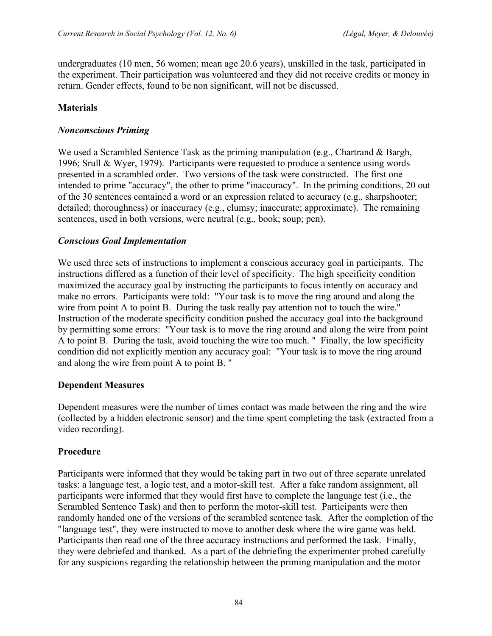undergraduates (10 men, 56 women; mean age 20.6 years), unskilled in the task, participated in the experiment. Their participation was volunteered and they did not receive credits or money in return. Gender effects, found to be non significant, will not be discussed.

## **Materials**

#### *Nonconscious Priming*

We used a Scrambled Sentence Task as the priming manipulation (e.g., Chartrand & Bargh, 1996; Srull & Wyer, 1979). Participants were requested to produce a sentence using words presented in a scrambled order. Two versions of the task were constructed. The first one intended to prime "accuracy", the other to prime "inaccuracy". In the priming conditions, 20 out of the 30 sentences contained a word or an expression related to accuracy (e.g.*,* sharpshooter; detailed; thoroughness) or inaccuracy (e.g., clumsy; inaccurate; approximate). The remaining sentences, used in both versions, were neutral (e.g.*,* book; soup; pen).

#### *Conscious Goal Implementation*

We used three sets of instructions to implement a conscious accuracy goal in participants. The instructions differed as a function of their level of specificity. The high specificity condition maximized the accuracy goal by instructing the participants to focus intently on accuracy and make no errors. Participants were told: "Your task is to move the ring around and along the wire from point A to point B. During the task really pay attention not to touch the wire." Instruction of the moderate specificity condition pushed the accuracy goal into the background by permitting some errors: "Your task is to move the ring around and along the wire from point A to point B. During the task, avoid touching the wire too much. " Finally, the low specificity condition did not explicitly mention any accuracy goal: "Your task is to move the ring around and along the wire from point A to point B. "

#### **Dependent Measures**

Dependent measures were the number of times contact was made between the ring and the wire (collected by a hidden electronic sensor) and the time spent completing the task (extracted from a video recording).

#### **Procedure**

Participants were informed that they would be taking part in two out of three separate unrelated tasks: a language test, a logic test, and a motor-skill test. After a fake random assignment, all participants were informed that they would first have to complete the language test (i.e., the Scrambled Sentence Task) and then to perform the motor-skill test. Participants were then randomly handed one of the versions of the scrambled sentence task. After the completion of the "language test", they were instructed to move to another desk where the wire game was held. Participants then read one of the three accuracy instructions and performed the task. Finally, they were debriefed and thanked. As a part of the debriefing the experimenter probed carefully for any suspicions regarding the relationship between the priming manipulation and the motor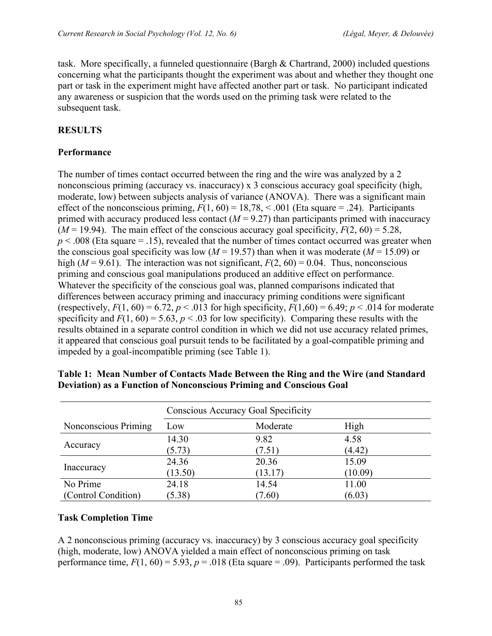task. More specifically, a funneled questionnaire (Bargh & Chartrand, 2000) included questions concerning what the participants thought the experiment was about and whether they thought one part or task in the experiment might have affected another part or task. No participant indicated any awareness or suspicion that the words used on the priming task were related to the subsequent task.

## **RESULTS**

#### **Performance**

The number of times contact occurred between the ring and the wire was analyzed by a 2 nonconscious priming (accuracy vs. inaccuracy) x 3 conscious accuracy goal specificity (high, moderate, low) between subjects analysis of variance (ANOVA). There was a significant main effect of the nonconscious priming,  $F(1, 60) = 18,78, < .001$  (Eta square = .24). Participants primed with accuracy produced less contact  $(M = 9.27)$  than participants primed with inaccuracy  $(M = 19.94)$ . The main effect of the conscious accuracy goal specificity,  $F(2, 60) = 5.28$ ,  $p < .008$  (Eta square  $= .15$ ), revealed that the number of times contact occurred was greater when the conscious goal specificity was low ( $M = 19.57$ ) than when it was moderate ( $M = 15.09$ ) or high ( $M = 9.61$ ). The interaction was not significant,  $F(2, 60) = 0.04$ . Thus, nonconscious priming and conscious goal manipulations produced an additive effect on performance. Whatever the specificity of the conscious goal was, planned comparisons indicated that differences between accuracy priming and inaccuracy priming conditions were significant (respectively,  $F(1, 60) = 6.72$ ,  $p < .013$  for high specificity,  $F(1, 60) = 6.49$ ;  $p < .014$  for moderate specificity and  $F(1, 60) = 5.63$ ,  $p < .03$  for low specificity). Comparing these results with the results obtained in a separate control condition in which we did not use accuracy related primes, it appeared that conscious goal pursuit tends to be facilitated by a goal-compatible priming and impeded by a goal-incompatible priming (see Table 1).

|                      | Conscious Accuracy Goal Specificity |          |         |  |
|----------------------|-------------------------------------|----------|---------|--|
| Nonconscious Priming | Low                                 | Moderate | High    |  |
| Accuracy             | 14.30                               | 9.82     | 4.58    |  |
|                      | (5.73)                              | (7.51)   | (4.42)  |  |
| Inaccuracy           | 24.36                               | 20.36    | 15.09   |  |
|                      | (13.50)                             | (13.17)  | (10.09) |  |
| No Prime             | 24.18                               | 14.54    | 11.00   |  |
| (Control Condition)  | (5.38)                              | (7.60)   | (6.03)  |  |

| Table 1: Mean Number of Contacts Made Between the Ring and the Wire (and Standard |
|-----------------------------------------------------------------------------------|
| Deviation) as a Function of Nonconscious Priming and Conscious Goal               |

#### **Task Completion Time**

A 2 nonconscious priming (accuracy vs. inaccuracy) by 3 conscious accuracy goal specificity (high, moderate, low) ANOVA yielded a main effect of nonconscious priming on task performance time,  $F(1, 60) = 5.93$ ,  $p = .018$  (Eta square = .09). Participants performed the task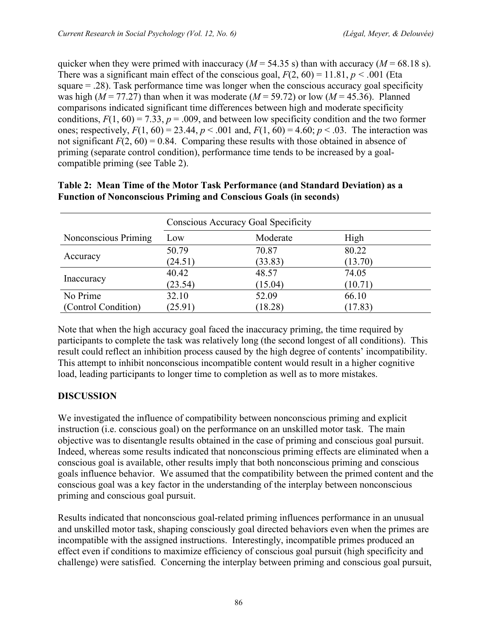quicker when they were primed with inaccuracy ( $M = 54.35$  s) than with accuracy ( $M = 68.18$  s). There was a significant main effect of the conscious goal,  $F(2, 60) = 11.81$ ,  $p < .001$  (Eta square = .28). Task performance time was longer when the conscious accuracy goal specificity was high ( $M = 77.27$ ) than when it was moderate ( $M = 59.72$ ) or low ( $M = 45.36$ ). Planned comparisons indicated significant time differences between high and moderate specificity conditions,  $F(1, 60) = 7.33$ ,  $p = .009$ , and between low specificity condition and the two former ones; respectively,  $F(1, 60) = 23.44$ ,  $p < .001$  and,  $F(1, 60) = 4.60$ ;  $p < .03$ . The interaction was not significant  $F(2, 60) = 0.84$ . Comparing these results with those obtained in absence of priming (separate control condition), performance time tends to be increased by a goalcompatible priming (see Table 2).

|                      | Conscious Accuracy Goal Specificity |          |         |  |
|----------------------|-------------------------------------|----------|---------|--|
| Nonconscious Priming | Low                                 | Moderate | High    |  |
| Accuracy             | 50.79                               | 70.87    | 80.22   |  |
|                      | (24.51)                             | (33.83)  | (13.70) |  |
| Inaccuracy           | 40.42                               | 48.57    | 74.05   |  |
|                      | (23.54)                             | (15.04)  | (10.71) |  |
| No Prime             | 32.10                               | 52.09    | 66.10   |  |
| (Control Condition)  | (25.91)                             | (18.28)  | (17.83) |  |

#### **Table 2: Mean Time of the Motor Task Performance (and Standard Deviation) as a Function of Nonconscious Priming and Conscious Goals (in seconds)**

Note that when the high accuracy goal faced the inaccuracy priming, the time required by participants to complete the task was relatively long (the second longest of all conditions). This result could reflect an inhibition process caused by the high degree of contents' incompatibility. This attempt to inhibit nonconscious incompatible content would result in a higher cognitive load, leading participants to longer time to completion as well as to more mistakes.

## **DISCUSSION**

We investigated the influence of compatibility between nonconscious priming and explicit instruction (i.e. conscious goal) on the performance on an unskilled motor task. The main objective was to disentangle results obtained in the case of priming and conscious goal pursuit. Indeed, whereas some results indicated that nonconscious priming effects are eliminated when a conscious goal is available, other results imply that both nonconscious priming and conscious goals influence behavior. We assumed that the compatibility between the primed content and the conscious goal was a key factor in the understanding of the interplay between nonconscious priming and conscious goal pursuit.

Results indicated that nonconscious goal-related priming influences performance in an unusual and unskilled motor task, shaping consciously goal directed behaviors even when the primes are incompatible with the assigned instructions. Interestingly, incompatible primes produced an effect even if conditions to maximize efficiency of conscious goal pursuit (high specificity and challenge) were satisfied. Concerning the interplay between priming and conscious goal pursuit,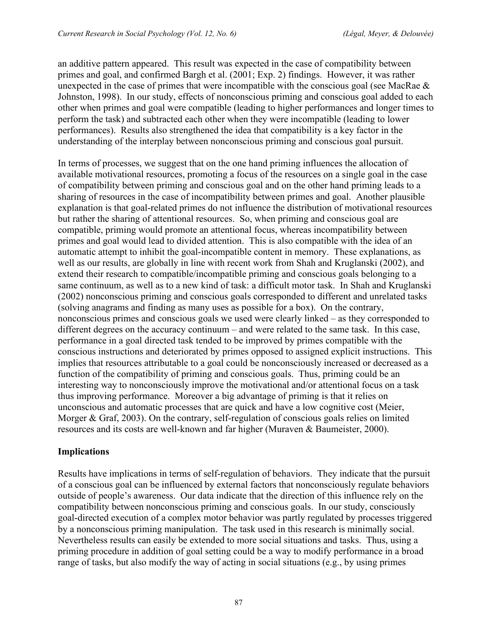an additive pattern appeared. This result was expected in the case of compatibility between primes and goal, and confirmed Bargh et al. (2001; Exp. 2) findings. However, it was rather unexpected in the case of primes that were incompatible with the conscious goal (see MacRae  $\&$ Johnston, 1998). In our study, effects of nonconscious priming and conscious goal added to each other when primes and goal were compatible (leading to higher performances and longer times to perform the task) and subtracted each other when they were incompatible (leading to lower performances). Results also strengthened the idea that compatibility is a key factor in the understanding of the interplay between nonconscious priming and conscious goal pursuit.

In terms of processes, we suggest that on the one hand priming influences the allocation of available motivational resources, promoting a focus of the resources on a single goal in the case of compatibility between priming and conscious goal and on the other hand priming leads to a sharing of resources in the case of incompatibility between primes and goal. Another plausible explanation is that goal-related primes do not influence the distribution of motivational resources but rather the sharing of attentional resources. So, when priming and conscious goal are compatible, priming would promote an attentional focus, whereas incompatibility between primes and goal would lead to divided attention. This is also compatible with the idea of an automatic attempt to inhibit the goal-incompatible content in memory. These explanations, as well as our results, are globally in line with recent work from Shah and Kruglanski (2002), and extend their research to compatible/incompatible priming and conscious goals belonging to a same continuum, as well as to a new kind of task: a difficult motor task. In Shah and Kruglanski (2002) nonconscious priming and conscious goals corresponded to different and unrelated tasks (solving anagrams and finding as many uses as possible for a box). On the contrary, nonconscious primes and conscious goals we used were clearly linked – as they corresponded to different degrees on the accuracy continuum – and were related to the same task. In this case, performance in a goal directed task tended to be improved by primes compatible with the conscious instructions and deteriorated by primes opposed to assigned explicit instructions. This implies that resources attributable to a goal could be nonconsciously increased or decreased as a function of the compatibility of priming and conscious goals. Thus, priming could be an interesting way to nonconsciously improve the motivational and/or attentional focus on a task thus improving performance. Moreover a big advantage of priming is that it relies on unconscious and automatic processes that are quick and have a low cognitive cost (Meier, Morger & Graf, 2003). On the contrary, self-regulation of conscious goals relies on limited resources and its costs are well-known and far higher (Muraven & Baumeister, 2000).

## **Implications**

Results have implications in terms of self-regulation of behaviors. They indicate that the pursuit of a conscious goal can be influenced by external factors that nonconsciously regulate behaviors outside of people's awareness. Our data indicate that the direction of this influence rely on the compatibility between nonconscious priming and conscious goals. In our study, consciously goal-directed execution of a complex motor behavior was partly regulated by processes triggered by a nonconscious priming manipulation. The task used in this research is minimally social. Nevertheless results can easily be extended to more social situations and tasks. Thus, using a priming procedure in addition of goal setting could be a way to modify performance in a broad range of tasks, but also modify the way of acting in social situations (e.g., by using primes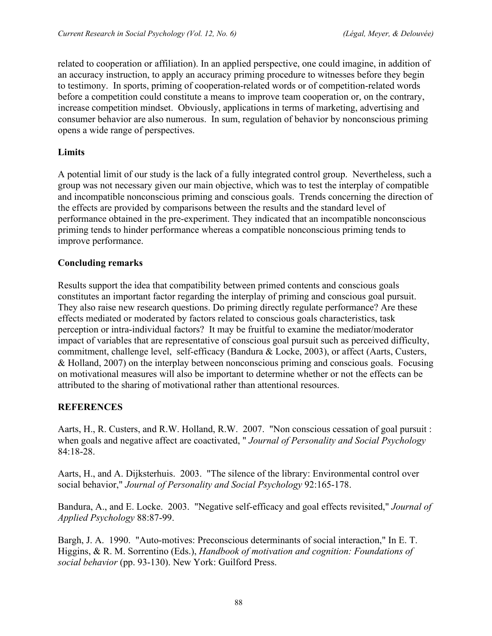related to cooperation or affiliation). In an applied perspective, one could imagine, in addition of an accuracy instruction, to apply an accuracy priming procedure to witnesses before they begin to testimony. In sports, priming of cooperation-related words or of competition-related words before a competition could constitute a means to improve team cooperation or, on the contrary, increase competition mindset. Obviously, applications in terms of marketing, advertising and consumer behavior are also numerous. In sum, regulation of behavior by nonconscious priming opens a wide range of perspectives.

#### **Limits**

A potential limit of our study is the lack of a fully integrated control group. Nevertheless, such a group was not necessary given our main objective, which was to test the interplay of compatible and incompatible nonconscious priming and conscious goals. Trends concerning the direction of the effects are provided by comparisons between the results and the standard level of performance obtained in the pre-experiment. They indicated that an incompatible nonconscious priming tends to hinder performance whereas a compatible nonconscious priming tends to improve performance.

## **Concluding remarks**

Results support the idea that compatibility between primed contents and conscious goals constitutes an important factor regarding the interplay of priming and conscious goal pursuit. They also raise new research questions. Do priming directly regulate performance? Are these effects mediated or moderated by factors related to conscious goals characteristics, task perception or intra-individual factors? It may be fruitful to examine the mediator/moderator impact of variables that are representative of conscious goal pursuit such as perceived difficulty, commitment, challenge level, self-efficacy (Bandura & Locke, 2003), or affect (Aarts, Custers, & Holland, 2007) on the interplay between nonconscious priming and conscious goals. Focusing on motivational measures will also be important to determine whether or not the effects can be attributed to the sharing of motivational rather than attentional resources.

## **REFERENCES**

Aarts, H., R. Custers, and R.W. Holland, R.W. 2007. "Non conscious cessation of goal pursuit : when goals and negative affect are coactivated, " *Journal of Personality and Social Psychology* 84:18-28.

Aarts, H., and A. Dijksterhuis. 2003. "The silence of the library: Environmental control over social behavior," *Journal of Personality and Social Psychology* 92:165-178.

Bandura, A., and E. Locke. 2003. "Negative self-efficacy and goal effects revisited," *Journal of Applied Psychology* 88:87-99.

Bargh, J. A. 1990. "Auto-motives: Preconscious determinants of social interaction," In E. T. Higgins, & R. M. Sorrentino (Eds.), *Handbook of motivation and cognition: Foundations of social behavior* (pp. 93-130). New York: Guilford Press.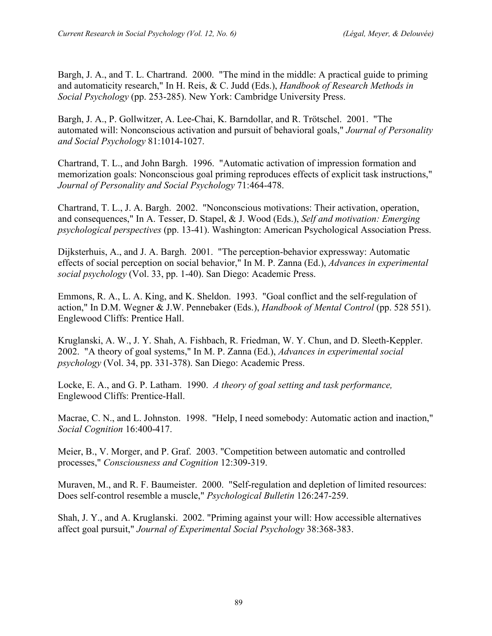Bargh, J. A., and T. L. Chartrand. 2000. "The mind in the middle: A practical guide to priming and automaticity research," In H. Reis, & C. Judd (Eds.), *Handbook of Research Methods in Social Psychology* (pp. 253-285). New York: Cambridge University Press.

Bargh, J. A., P. Gollwitzer, A. Lee-Chai, K. Barndollar, and R. Trötschel. 2001. "The automated will: Nonconscious activation and pursuit of behavioral goals," *Journal of Personality and Social Psychology* 81:1014-1027.

Chartrand, T. L., and John Bargh. 1996. "Automatic activation of impression formation and memorization goals: Nonconscious goal priming reproduces effects of explicit task instructions," *Journal of Personality and Social Psychology* 71:464-478.

Chartrand, T. L., J. A. Bargh. 2002. "Nonconscious motivations: Their activation, operation, and consequences," In A. Tesser, D. Stapel, & J. Wood (Eds.), *Self and motivation: Emerging psychological perspectives* (pp. 13-41). Washington: American Psychological Association Press.

Dijksterhuis, A., and J. A. Bargh. 2001. "The perception-behavior expressway: Automatic effects of social perception on social behavior," In M. P. Zanna (Ed.), *Advances in experimental social psychology* (Vol. 33, pp. 1-40). San Diego: Academic Press.

Emmons, R. A., L. A. King, and K. Sheldon. 1993. "Goal conflict and the self-regulation of action," In D.M. Wegner & J.W. Pennebaker (Eds.), *Handbook of Mental Control* (pp. 528 551). Englewood Cliffs: Prentice Hall.

Kruglanski, A. W., J. Y. Shah, A. Fishbach, R. Friedman, W. Y. Chun, and D. Sleeth-Keppler. 2002. "A theory of goal systems," In M. P. Zanna (Ed.), *Advances in experimental social psychology* (Vol. 34, pp. 331-378). San Diego: Academic Press.

Locke, E. A., and G. P. Latham. 1990. *A theory of goal setting and task performance,* Englewood Cliffs: Prentice-Hall.

Macrae, C. N., and L. Johnston. 1998. "Help, I need somebody: Automatic action and inaction," *Social Cognition* 16:400-417.

Meier, B., V. Morger, and P. Graf. 2003. "Competition between automatic and controlled processes," *Consciousness and Cognition* 12:309-319.

Muraven, M., and R. F. Baumeister. 2000. "Self-regulation and depletion of limited resources: Does self-control resemble a muscle," *Psychological Bulletin* 126:247-259.

Shah, J. Y., and A. Kruglanski. 2002. "Priming against your will: How accessible alternatives affect goal pursuit," *Journal of Experimental Social Psychology* 38:368-383.